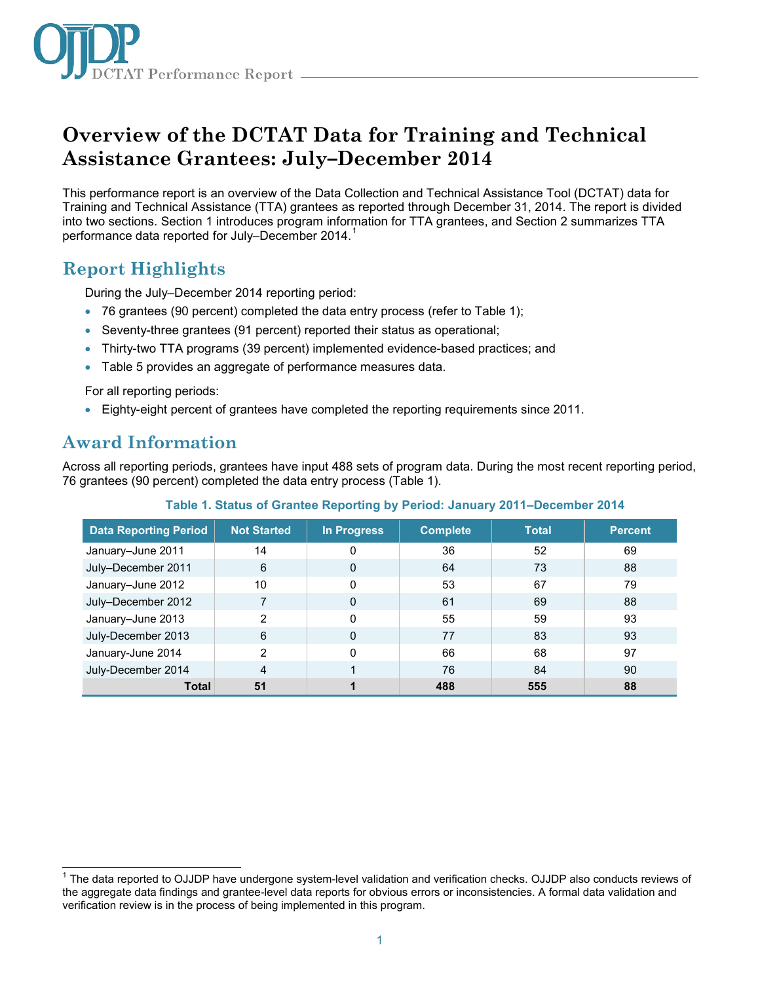

# **Overview of the DCTAT Data for Training and Technical Assistance Grantees: July–December 2014**

This performance report is an overview of the Data Collection and Technical Assistance Tool (DCTAT) data for Training and Technical Assistance (TTA) grantees as reported through December 31, 2014. The report is divided into two sections. Section 1 introduces program information for TTA grantees, and Section 2 summarizes TTA performance data reported for July–December 2014. [1](#page-0-0)

## **Report Highlights**

During the July–December 2014 reporting period:

- 76 grantees (90 percent) completed the data entry process (refer to Table 1);
- Seventy-three grantees (91 percent) reported their status as operational;
- Thirty-two TTA programs (39 percent) implemented evidence-based practices; and
- Table 5 provides an aggregate of performance measures data.

For all reporting periods:

• Eighty-eight percent of grantees have completed the reporting requirements since 2011.

## **Award Information**

Across all reporting periods, grantees have input 488 sets of program data. During the most recent reporting period, 76 grantees (90 percent) completed the data entry process (Table 1).

| <b>Data Reporting Period</b> | <b>Not Started</b> | In Progress  | <b>Complete</b> | <b>Total</b> | <b>Percent</b> |
|------------------------------|--------------------|--------------|-----------------|--------------|----------------|
| January-June 2011            | 14                 | 0            | 36              | 52           | 69             |
| July-December 2011           | 6                  | $\mathbf{0}$ | 64              | 73           | 88             |
| January-June 2012            | 10                 | 0            | 53              | 67           | 79             |
| July-December 2012           | 7                  | $\mathbf{0}$ | 61              | 69           | 88             |
| January-June 2013            | 2                  | $\Omega$     | 55              | 59           | 93             |
| July-December 2013           | 6                  | 0            | 77              | 83           | 93             |
| January-June 2014            | 2                  | $\Omega$     | 66              | 68           | 97             |
| July-December 2014           | 4                  |              | 76              | 84           | 90             |
| <b>Total</b>                 | 51                 |              | 488             | 555          | 88             |

#### **Table 1. Status of Grantee Reporting by Period: January 2011–December 2014**

<span id="page-0-0"></span> $\overline{\phantom{a}}$ <sup>1</sup> The data reported to OJJDP have undergone system-level validation and verification checks. OJJDP also conducts reviews of the aggregate data findings and grantee-level data reports for obvious errors or inconsistencies. A formal data validation and verification review is in the process of being implemented in this program.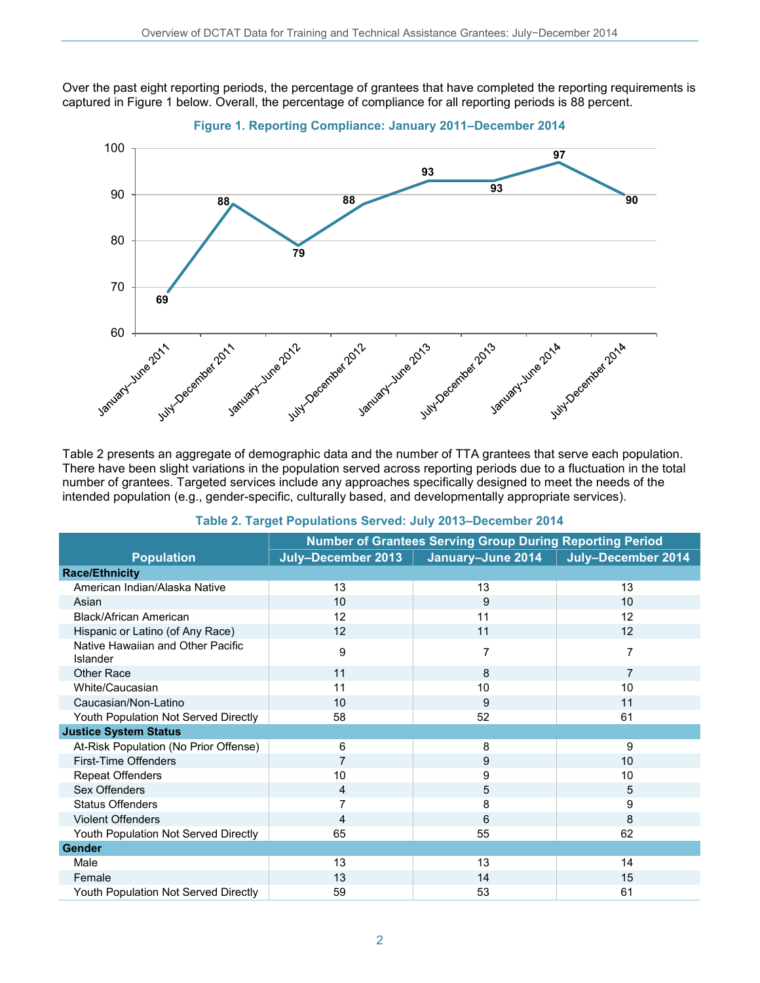Over the past eight reporting periods, the percentage of grantees that have completed the reporting requirements is captured in Figure 1 below. Overall, the percentage of compliance for all reporting periods is 88 percent.



There have been slight variations in the population served across reporting periods due to a fluctuation in the total number of grantees. Targeted services include any approaches specifically designed to meet the needs of the intended population (e.g., gender-specific, culturally based, and developmentally appropriate services).

|                                               | <b>Number of Grantees Serving Group During Reporting Period</b> |                   |                    |  |
|-----------------------------------------------|-----------------------------------------------------------------|-------------------|--------------------|--|
| <b>Population</b>                             | July-December 2013                                              | January-June 2014 | July-December 2014 |  |
| <b>Race/Ethnicity</b>                         |                                                                 |                   |                    |  |
| American Indian/Alaska Native                 | 13                                                              | 13                | 13                 |  |
| Asian                                         | 10                                                              | 9                 | 10                 |  |
| <b>Black/African American</b>                 | 12                                                              | 11                | 12                 |  |
| Hispanic or Latino (of Any Race)              | 12                                                              | 11                | 12                 |  |
| Native Hawaiian and Other Pacific<br>Islander | 9                                                               | 7                 | 7                  |  |
| <b>Other Race</b>                             | 11                                                              | 8                 | 7                  |  |
| White/Caucasian                               | 11                                                              | 10                | 10                 |  |
| Caucasian/Non-Latino                          | 10                                                              | 9                 | 11                 |  |
| Youth Population Not Served Directly          | 58                                                              | 52                | 61                 |  |
| <b>Justice System Status</b>                  |                                                                 |                   |                    |  |
| At-Risk Population (No Prior Offense)         | 6                                                               | 8                 | 9                  |  |
| First-Time Offenders                          | 7                                                               | 9                 | 10                 |  |
| <b>Repeat Offenders</b>                       | 10                                                              | 9                 | 10                 |  |
| Sex Offenders                                 | 4                                                               | 5                 | 5                  |  |
| <b>Status Offenders</b>                       |                                                                 | 8                 | 9                  |  |
| <b>Violent Offenders</b>                      | 4                                                               | 6                 | 8                  |  |
| Youth Population Not Served Directly          | 65                                                              | 55                | 62                 |  |
| <b>Gender</b>                                 |                                                                 |                   |                    |  |
| Male                                          | 13                                                              | 13                | 14                 |  |
| Female                                        | 13                                                              | 14                | 15                 |  |
| Youth Population Not Served Directly          | 59                                                              | 53                | 61                 |  |

#### **Table 2. Target Populations Served: July 2013–December 2014**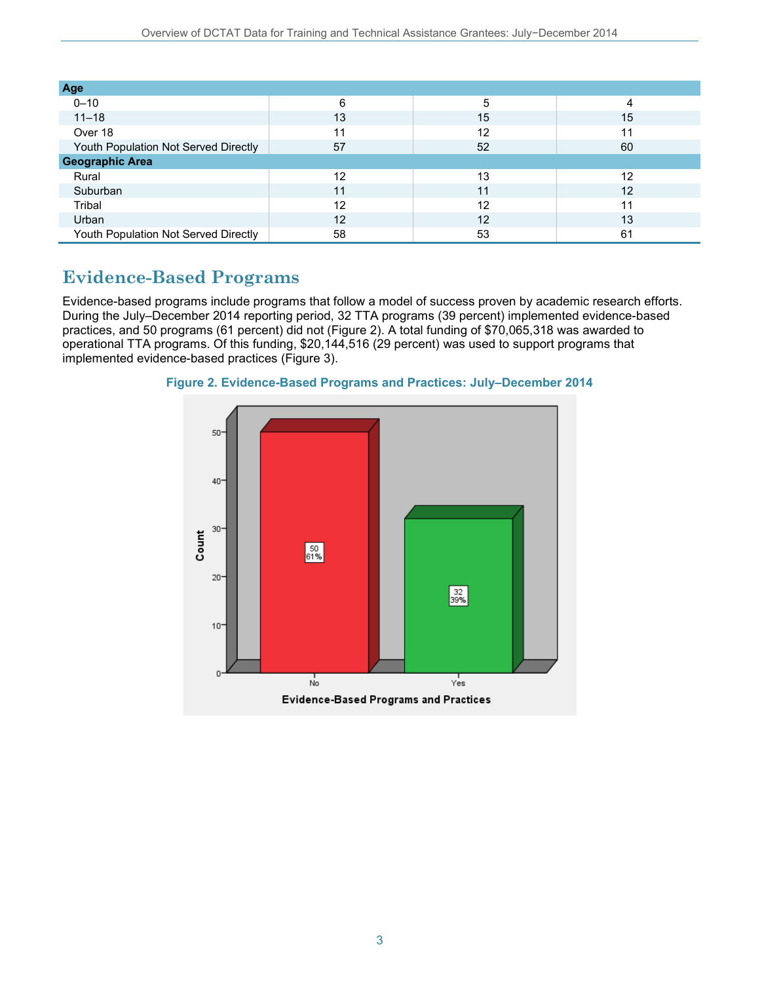| Age                                  |    |    |    |  |
|--------------------------------------|----|----|----|--|
| $0 - 10$                             | 6  | 5  | 4  |  |
| $11 - 18$                            | 13 | 15 | 15 |  |
| Over 18                              | 11 | 12 | 11 |  |
| Youth Population Not Served Directly | 57 | 52 | 60 |  |
| <b>Geographic Area</b>               |    |    |    |  |
| Rural                                | 12 | 13 | 12 |  |
| Suburban                             | 11 | 11 | 12 |  |
| Tribal                               | 12 | 12 | 11 |  |
| Urban                                | 12 | 12 | 13 |  |
| Youth Population Not Served Directly | 58 | 53 | 61 |  |

### **Evidence-Based Programs**

Evidence-based programs include programs that follow a model of success proven by academic research efforts. During the July–December 2014 reporting period, 32 TTA programs (39 percent) implemented evidence-based practices, and 50 programs (61 percent) did not (Figure 2). A total funding of \$70,065,318 was awarded to operational TTA programs. Of this funding, \$20,144,516 (29 percent) was used to support programs that implemented evidence-based practices (Figure 3).



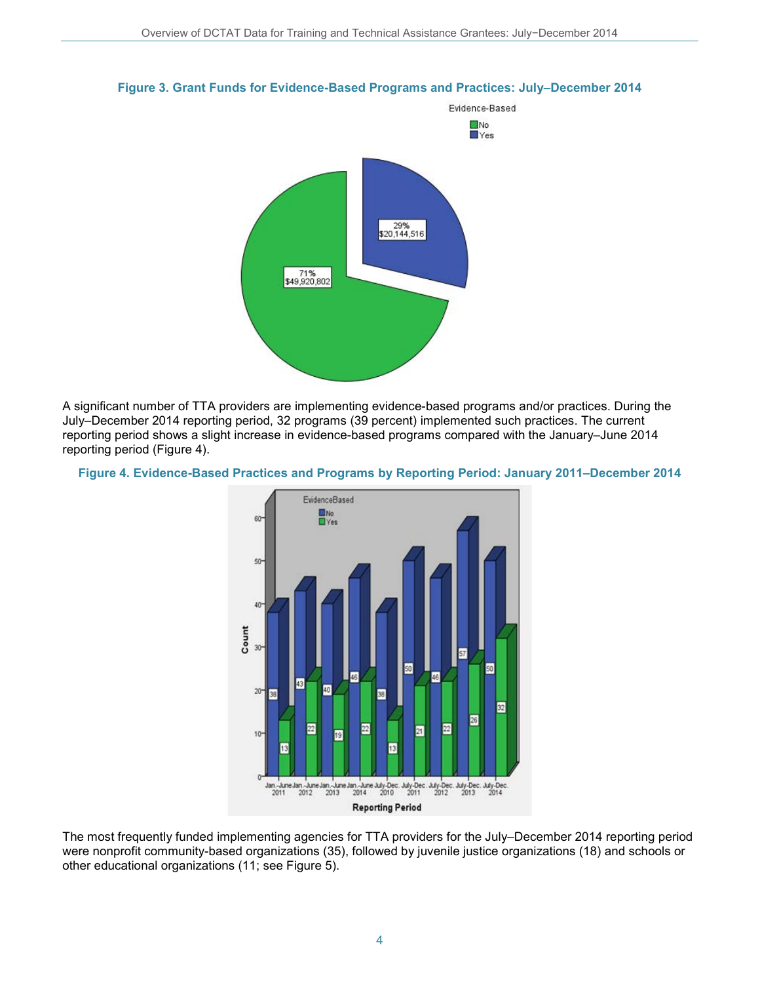

#### **Figure 3. Grant Funds for Evidence-Based Programs and Practices: July–December 2014**

A significant number of TTA providers are implementing evidence-based programs and/or practices. During the July–December 2014 reporting period, 32 programs (39 percent) implemented such practices. The current reporting period shows a slight increase in evidence-based programs compared with the January–June 2014 reporting period (Figure 4).





The most frequently funded implementing agencies for TTA providers for the July–December 2014 reporting period were nonprofit community-based organizations (35), followed by juvenile justice organizations (18) and schools or other educational organizations (11; see Figure 5).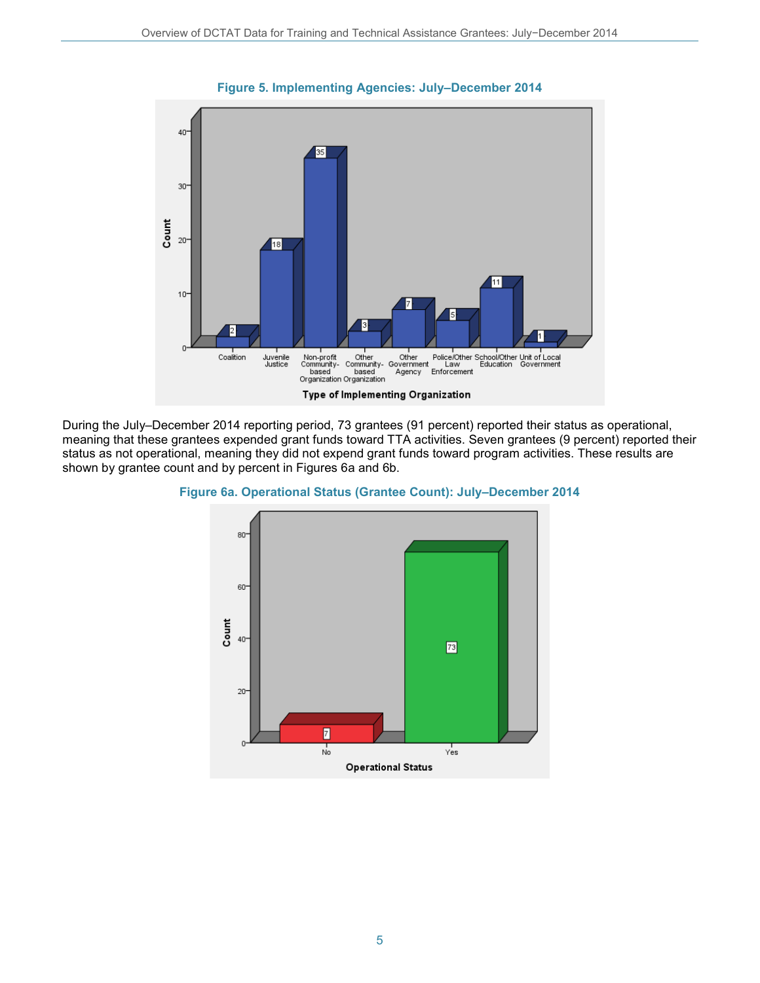

**Figure 5. Implementing Agencies: July–December 2014**

During the July–December 2014 reporting period, 73 grantees (91 percent) reported their status as operational, meaning that these grantees expended grant funds toward TTA activities. Seven grantees (9 percent) reported their status as not operational, meaning they did not expend grant funds toward program activities. These results are shown by grantee count and by percent in Figures 6a and 6b.



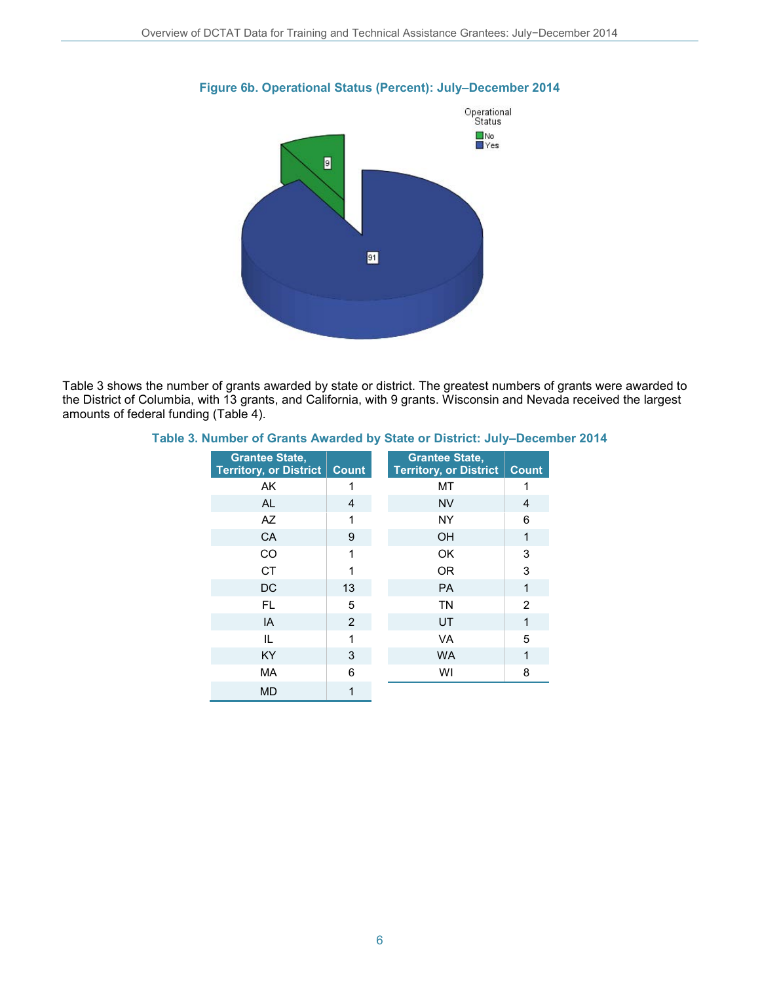

#### **Figure 6b. Operational Status (Percent): July–December 2014**

Table 3 shows the number of grants awarded by state or district. The greatest numbers of grants were awarded to the District of Columbia, with 13 grants, and California, with 9 grants. Wisconsin and Nevada received the largest amounts of federal funding (Table 4).

#### **Table 3. Number of Grants Awarded by State or District: July–December 2014**

| <b>Grantee State,</b><br><b>Territory, or District</b> | <b>Count</b> | <b>Grantee State,</b><br><b>Territory, or District</b> | <b>Count</b> |
|--------------------------------------------------------|--------------|--------------------------------------------------------|--------------|
| AK                                                     | 1            | МT                                                     |              |
| <b>AL</b>                                              | 4            | <b>NV</b>                                              | 4            |
| AZ                                                     | 1            | <b>NY</b>                                              | 6            |
| CA                                                     | 9            | <b>OH</b>                                              | 1            |
| CO                                                     | 1            | OK                                                     | 3            |
| <b>CT</b>                                              |              | <b>OR</b>                                              | 3            |
| DC                                                     | 13           | <b>PA</b>                                              | 1            |
| FL.                                                    | 5            | <b>TN</b>                                              | 2            |
| IA                                                     | 2            | UT                                                     | 1            |
| IL                                                     | 1            | VA                                                     | 5            |
| <b>KY</b>                                              | 3            | <b>WA</b>                                              | 1            |
| <b>MA</b>                                              | 6            | WI                                                     | 8            |
| <b>MD</b>                                              | 1            |                                                        |              |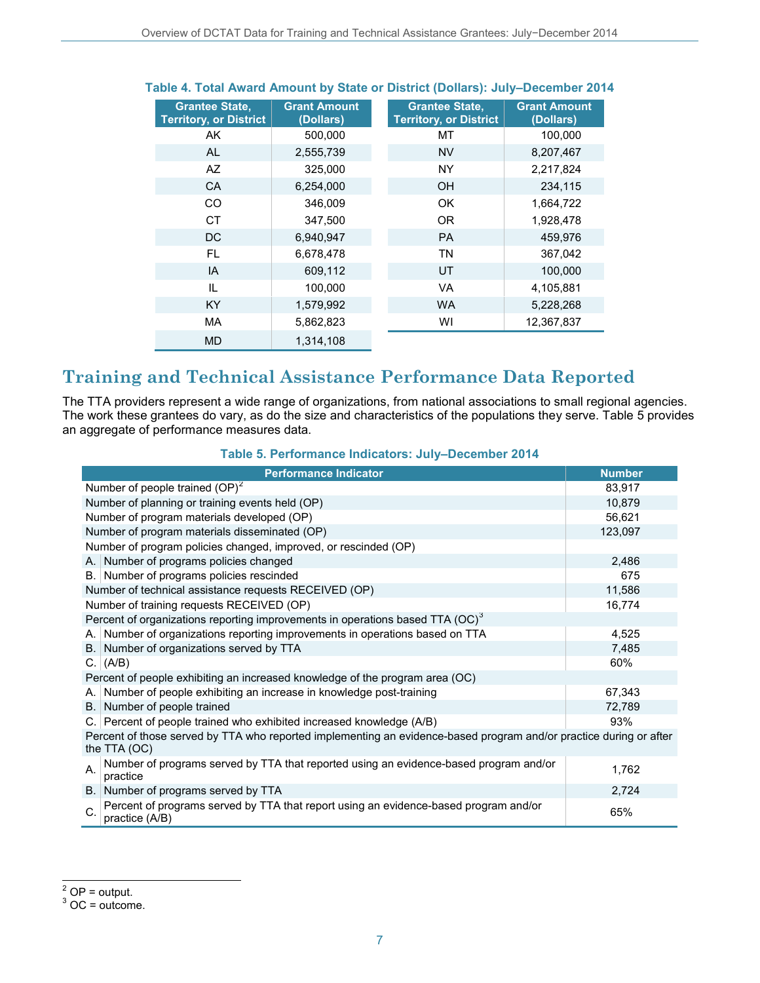| <b>Grantee State,</b><br><b>Territory, or District</b> | <b>Grant Amount</b><br>(Dollars) | <b>Grantee State.</b><br><b>Territory, or District</b> | <b>Grant Amount</b><br>(Dollars) |
|--------------------------------------------------------|----------------------------------|--------------------------------------------------------|----------------------------------|
| AK                                                     | 500,000                          | МT                                                     | 100,000                          |
| AL.                                                    | 2,555,739                        | <b>NV</b>                                              | 8,207,467                        |
| AZ                                                     | 325,000                          | <b>NY</b>                                              | 2,217,824                        |
| <b>CA</b>                                              | 6,254,000                        | <b>OH</b>                                              | 234,115                          |
| <b>CO</b>                                              | 346,009                          | OK                                                     | 1,664,722                        |
| <b>CT</b>                                              | 347,500                          | OR.                                                    | 1,928,478                        |
| <b>DC</b>                                              | 6,940,947                        | <b>PA</b>                                              | 459,976                          |
| FL                                                     | 6,678,478                        | ΤN                                                     | 367,042                          |
| IA                                                     | 609,112                          | UT                                                     | 100,000                          |
| IL                                                     | 100,000                          | <b>VA</b>                                              | 4,105,881                        |
| <b>KY</b>                                              | 1,579,992                        | <b>WA</b>                                              | 5,228,268                        |
| <b>MA</b>                                              | 5,862,823                        | WI                                                     | 12,367,837                       |
| <b>MD</b>                                              | 1,314,108                        |                                                        |                                  |

#### **Table 4. Total Award Amount by State or District (Dollars): July–December 2014**

# **Training and Technical Assistance Performance Data Reported**

The TTA providers represent a wide range of organizations, from national associations to small regional agencies. The work these grantees do vary, as do the size and characteristics of the populations they serve. Table 5 provides an aggregate of performance measures data.

#### **Table 5. Performance Indicators: July–December 2014**

<span id="page-6-1"></span><span id="page-6-0"></span>

|                                                                                                                                    | <b>Performance Indicator</b>                                                                           | <b>Number</b> |  |  |  |
|------------------------------------------------------------------------------------------------------------------------------------|--------------------------------------------------------------------------------------------------------|---------------|--|--|--|
|                                                                                                                                    | Number of people trained (OP) <sup>2</sup>                                                             | 83,917        |  |  |  |
|                                                                                                                                    | Number of planning or training events held (OP)                                                        | 10,879        |  |  |  |
|                                                                                                                                    | Number of program materials developed (OP)                                                             | 56,621        |  |  |  |
|                                                                                                                                    | Number of program materials disseminated (OP)                                                          | 123,097       |  |  |  |
|                                                                                                                                    | Number of program policies changed, improved, or rescinded (OP)                                        |               |  |  |  |
|                                                                                                                                    | A. Number of programs policies changed                                                                 | 2,486         |  |  |  |
|                                                                                                                                    | B. Number of programs policies rescinded                                                               | 675           |  |  |  |
|                                                                                                                                    | Number of technical assistance requests RECEIVED (OP)                                                  | 11,586        |  |  |  |
|                                                                                                                                    | Number of training requests RECEIVED (OP)                                                              | 16,774        |  |  |  |
|                                                                                                                                    | Percent of organizations reporting improvements in operations based TTA (OC) <sup>3</sup>              |               |  |  |  |
| A. I                                                                                                                               | Number of organizations reporting improvements in operations based on TTA                              | 4,525         |  |  |  |
| B.                                                                                                                                 | Number of organizations served by TTA                                                                  | 7,485         |  |  |  |
|                                                                                                                                    | C. $(A/B)$                                                                                             | 60%           |  |  |  |
|                                                                                                                                    | Percent of people exhibiting an increased knowledge of the program area (OC)                           |               |  |  |  |
| А.                                                                                                                                 | Number of people exhibiting an increase in knowledge post-training                                     | 67,343        |  |  |  |
| B.                                                                                                                                 | Number of people trained                                                                               | 72,789        |  |  |  |
|                                                                                                                                    | C. Percent of people trained who exhibited increased knowledge (A/B)                                   | 93%           |  |  |  |
| Percent of those served by TTA who reported implementing an evidence-based program and/or practice during or after<br>the TTA (OC) |                                                                                                        |               |  |  |  |
| А.                                                                                                                                 | Number of programs served by TTA that reported using an evidence-based program and/or<br>practice      | 1,762         |  |  |  |
|                                                                                                                                    | B. Number of programs served by TTA                                                                    | 2,724         |  |  |  |
| C.                                                                                                                                 | Percent of programs served by TTA that report using an evidence-based program and/or<br>practice (A/B) | 65%           |  |  |  |